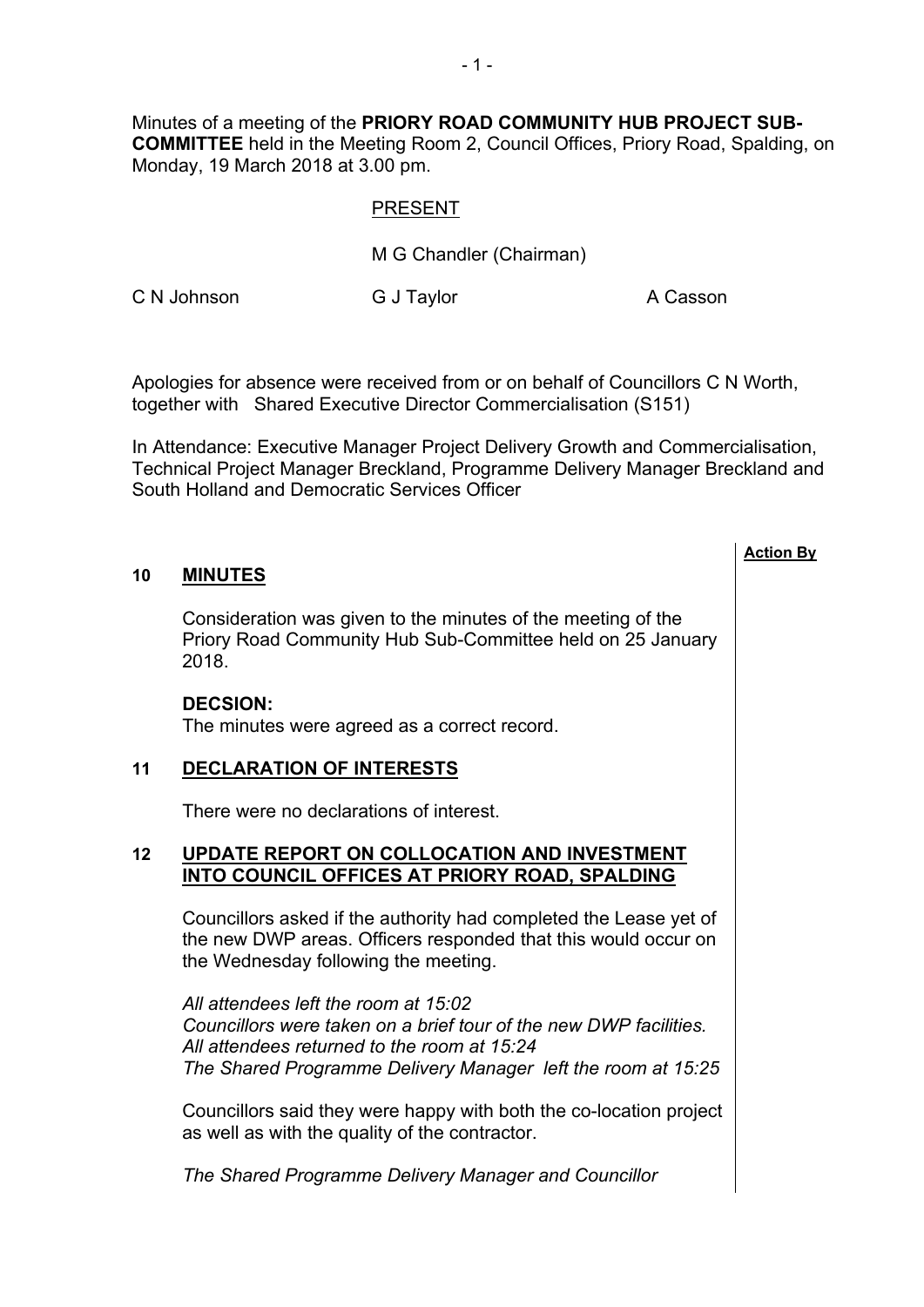Minutes of a meeting of the **PRIORY ROAD COMMUNITY HUB PROJECT SUB-COMMITTEE** held in the Meeting Room 2, Council Offices, Priory Road, Spalding, on Monday, 19 March 2018 at 3.00 pm.

## PRESENT

M G Chandler (Chairman)

C N Johnson G J Taylor G C N Gasson

**Action By**

Apologies for absence were received from or on behalf of Councillors C N Worth, together with Shared Executive Director Commercialisation (S151)

In Attendance: Executive Manager Project Delivery Growth and Commercialisation, Technical Project Manager Breckland, Programme Delivery Manager Breckland and South Holland and Democratic Services Officer

## **10 MINUTES**

Consideration was given to the minutes of the meeting of the Priory Road Community Hub Sub-Committee held on 25 January 2018.

## **DECSION:**

The minutes were agreed as a correct record.

## **11 DECLARATION OF INTERESTS**

There were no declarations of interest.

## **12 UPDATE REPORT ON COLLOCATION AND INVESTMENT INTO COUNCIL OFFICES AT PRIORY ROAD, SPALDING**

Councillors asked if the authority had completed the Lease yet of the new DWP areas. Officers responded that this would occur on the Wednesday following the meeting.

*All attendees left the room at 15:02 Councillors were taken on a brief tour of the new DWP facilities. All attendees returned to the room at 15:24 The Shared Programme Delivery Manager left the room at 15:25*

Councillors said they were happy with both the co-location project as well as with the quality of the contractor.

*The Shared Programme Delivery Manager and Councillor*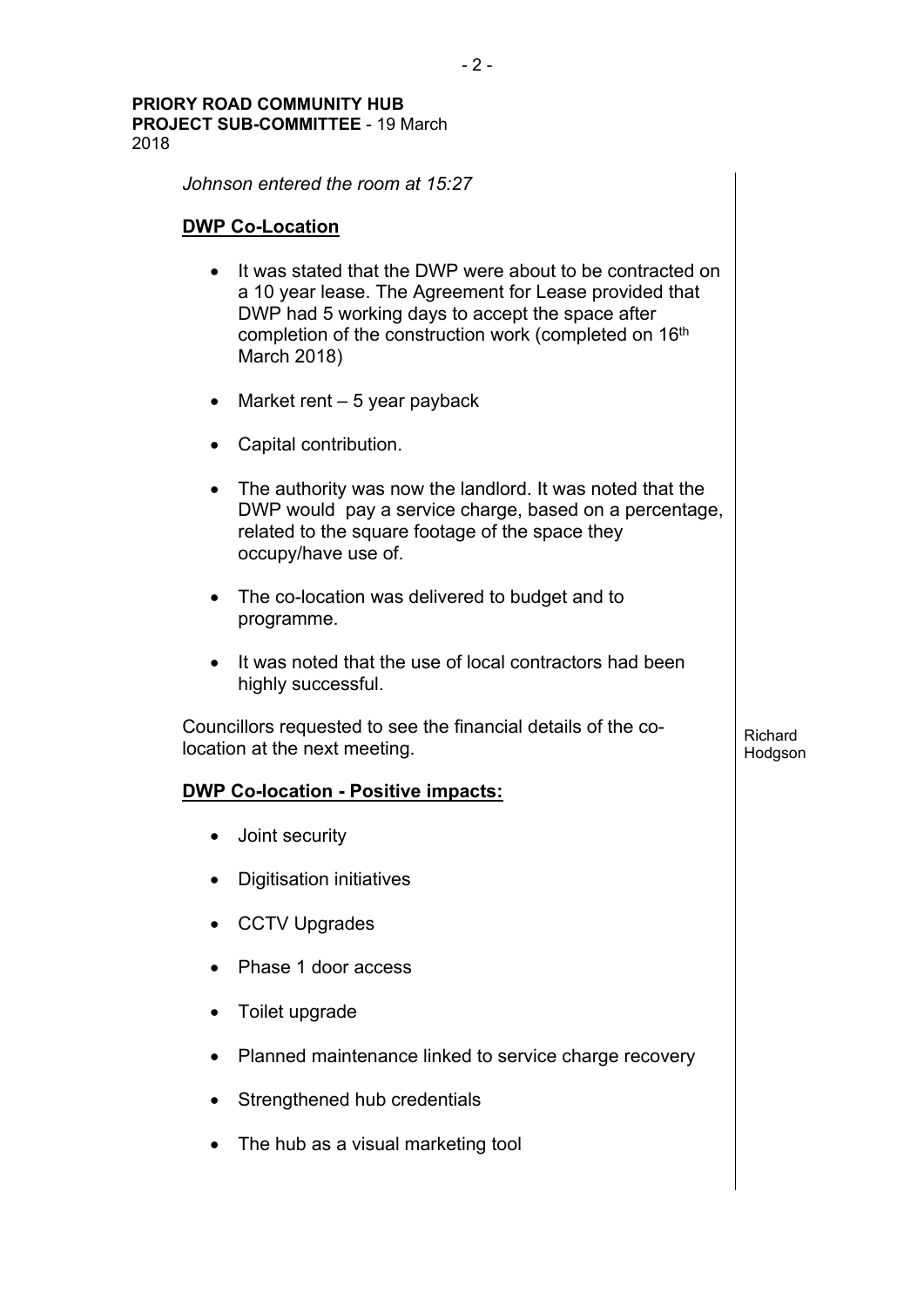*Johnson entered the room at 15:27*

## **DWP Co-Location**

- It was stated that the DWP were about to be contracted on a 10 year lease. The Agreement for Lease provided that DWP had 5 working days to accept the space after completion of the construction work (completed on 16<sup>th</sup>) March 2018)
- Market rent  $-5$  year payback
- Capital contribution.
- The authority was now the landlord. It was noted that the DWP would pay a service charge, based on a percentage, related to the square footage of the space they occupy/have use of.
- The co-location was delivered to budget and to programme.
- It was noted that the use of local contractors had been highly successful.

Richard Hodgson

Councillors requested to see the financial details of the colocation at the next meeting.

## **DWP Co-location - Positive impacts:**

- Joint security
- Digitisation initiatives
- CCTV Upgrades
- Phase 1 door access
- Toilet upgrade
- Planned maintenance linked to service charge recovery
- Strengthened hub credentials
- The hub as a visual marketing tool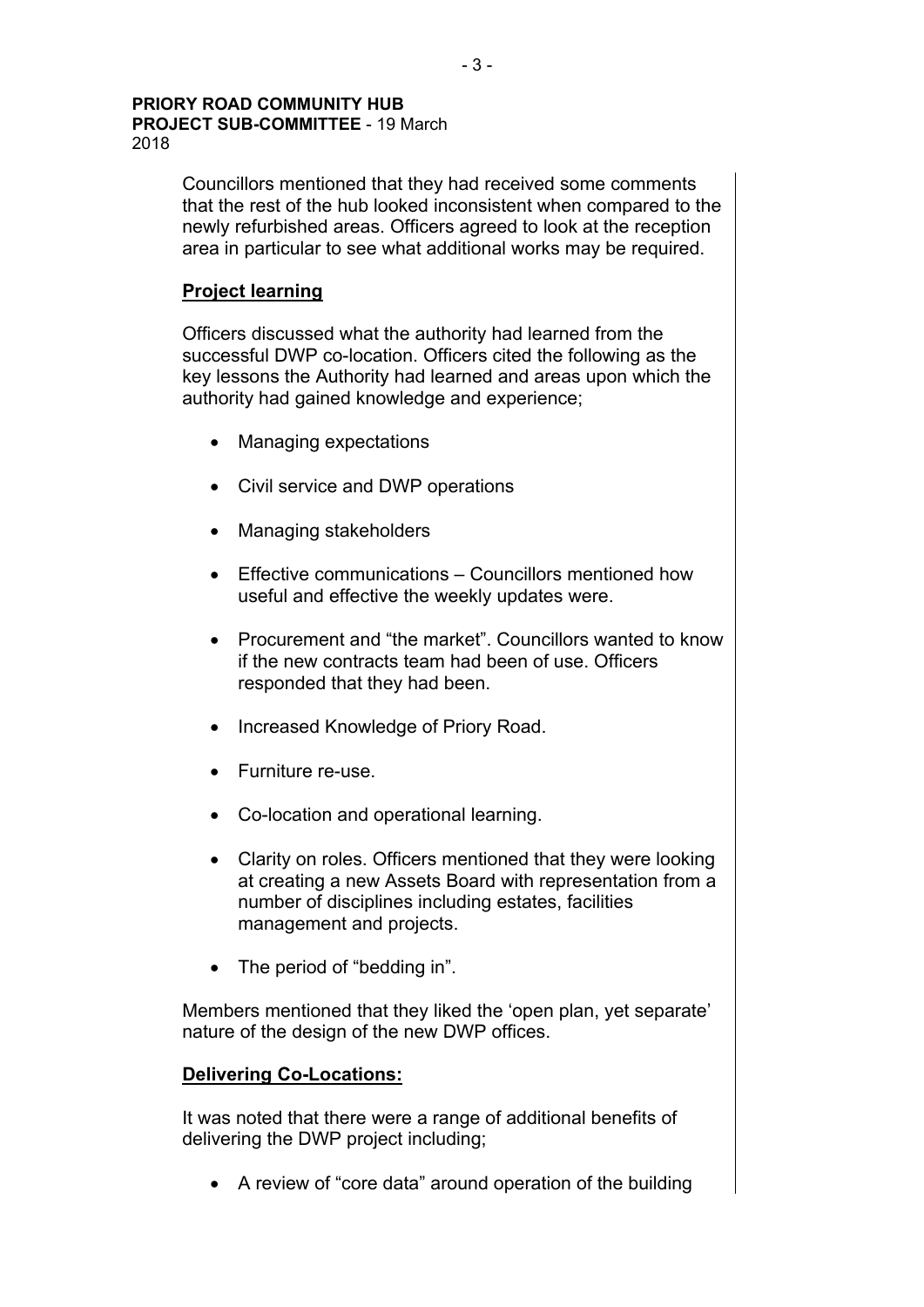Councillors mentioned that they had received some comments that the rest of the hub looked inconsistent when compared to the newly refurbished areas. Officers agreed to look at the reception area in particular to see what additional works may be required.

## **Project learning**

Officers discussed what the authority had learned from the successful DWP co-location. Officers cited the following as the key lessons the Authority had learned and areas upon which the authority had gained knowledge and experience;

- Managing expectations
- Civil service and DWP operations
- Managing stakeholders
- Effective communications Councillors mentioned how useful and effective the weekly updates were.
- Procurement and "the market". Councillors wanted to know if the new contracts team had been of use. Officers responded that they had been.
- Increased Knowledge of Priory Road.
- Furniture re-use.
- Co-location and operational learning.
- Clarity on roles. Officers mentioned that they were looking at creating a new Assets Board with representation from a number of disciplines including estates, facilities management and projects.
- The period of "bedding in".

Members mentioned that they liked the 'open plan, yet separate' nature of the design of the new DWP offices.

## **Delivering Co-Locations:**

It was noted that there were a range of additional benefits of delivering the DWP project including;

A review of "core data" around operation of the building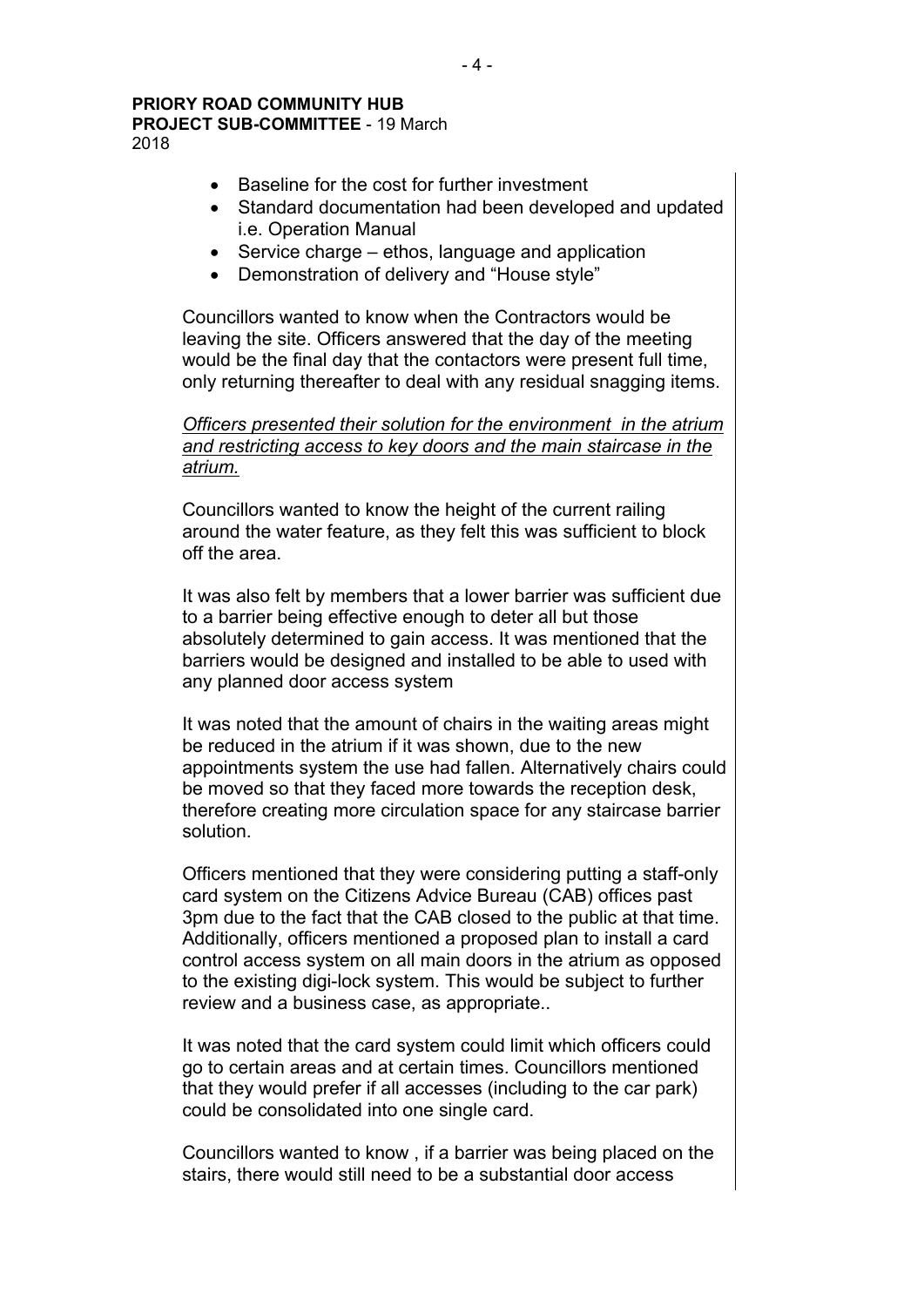2018

- Baseline for the cost for further investment
- Standard documentation had been developed and updated i.e. Operation Manual
- Service charge ethos, language and application
- Demonstration of delivery and "House style"

Councillors wanted to know when the Contractors would be leaving the site. Officers answered that the day of the meeting would be the final day that the contactors were present full time, only returning thereafter to deal with any residual snagging items.

*Officers presented their solution for the environment in the atrium and restricting access to key doors and the main staircase in the atrium.*

Councillors wanted to know the height of the current railing around the water feature, as they felt this was sufficient to block off the area.

It was also felt by members that a lower barrier was sufficient due to a barrier being effective enough to deter all but those absolutely determined to gain access. It was mentioned that the barriers would be designed and installed to be able to used with any planned door access system

It was noted that the amount of chairs in the waiting areas might be reduced in the atrium if it was shown, due to the new appointments system the use had fallen. Alternatively chairs could be moved so that they faced more towards the reception desk, therefore creating more circulation space for any staircase barrier solution.

Officers mentioned that they were considering putting a staff-only card system on the Citizens Advice Bureau (CAB) offices past 3pm due to the fact that the CAB closed to the public at that time. Additionally, officers mentioned a proposed plan to install a card control access system on all main doors in the atrium as opposed to the existing digi-lock system. This would be subject to further review and a business case, as appropriate..

It was noted that the card system could limit which officers could go to certain areas and at certain times. Councillors mentioned that they would prefer if all accesses (including to the car park) could be consolidated into one single card.

Councillors wanted to know , if a barrier was being placed on the stairs, there would still need to be a substantial door access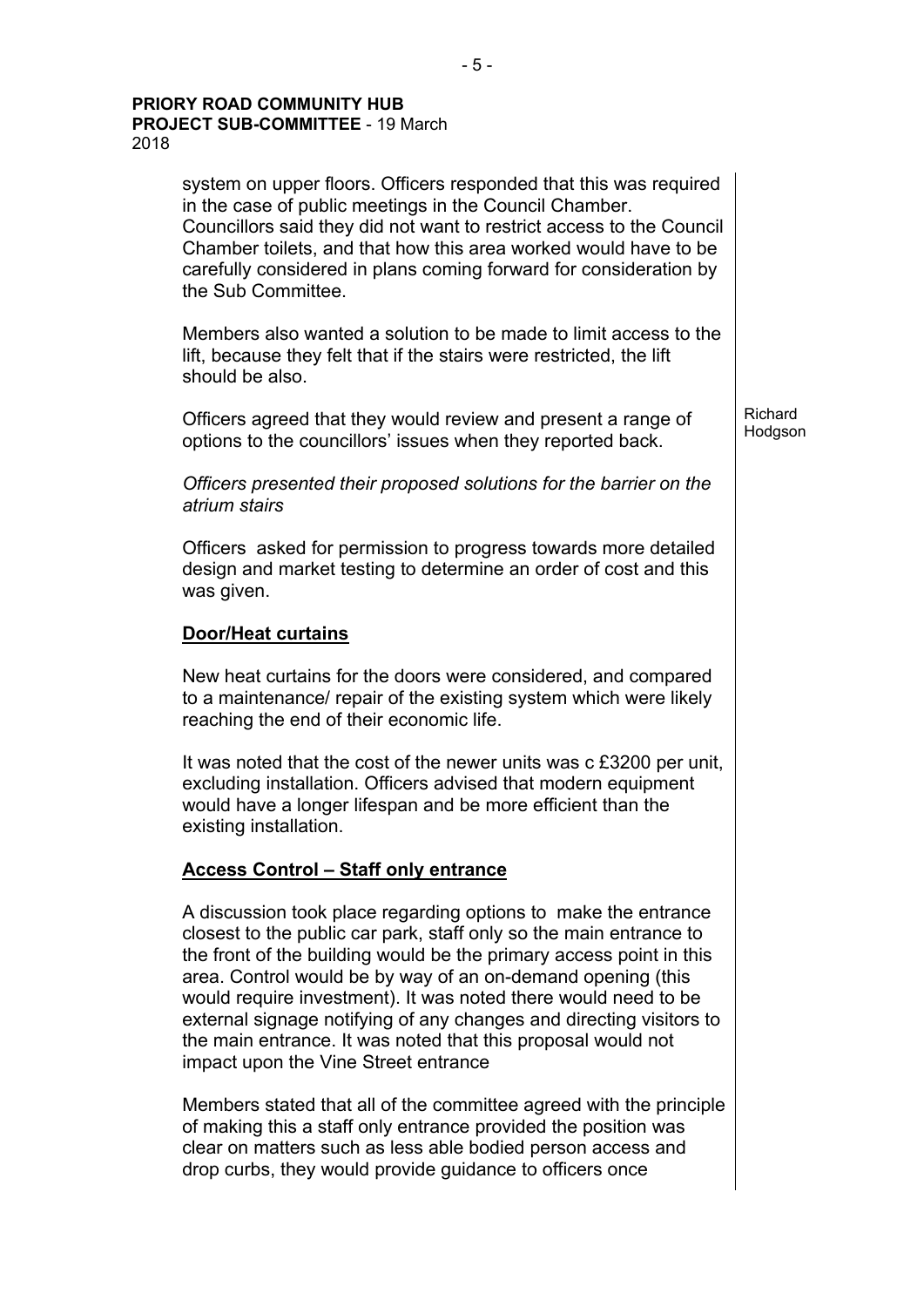system on upper floors. Officers responded that this was required in the case of public meetings in the Council Chamber. Councillors said they did not want to restrict access to the Council Chamber toilets, and that how this area worked would have to be carefully considered in plans coming forward for consideration by the Sub Committee. Members also wanted a solution to be made to limit access to the lift, because they felt that if the stairs were restricted, the lift should be also. Officers agreed that they would review and present a range of options to the councillors' issues when they reported back. *Officers presented their proposed solutions for the barrier on the atrium stairs* Officers asked for permission to progress towards more detailed design and market testing to determine an order of cost and this was given. **Door/Heat curtains** New heat curtains for the doors were considered, and compared to a maintenance/ repair of the existing system which were likely reaching the end of their economic life. It was noted that the cost of the newer units was c £3200 per unit, excluding installation. Officers advised that modern equipment would have a longer lifespan and be more efficient than the existing installation. **Access Control – Staff only entrance** A discussion took place regarding options to make the entrance closest to the public car park, staff only so the main entrance to the front of the building would be the primary access point in this area. Control would be by way of an on-demand opening (this would require investment). It was noted there would need to be external signage notifying of any changes and directing visitors to the main entrance. It was noted that this proposal would not impact upon the Vine Street entrance Richard Hodgson

Members stated that all of the committee agreed with the principle of making this a staff only entrance provided the position was clear on matters such as less able bodied person access and drop curbs, they would provide guidance to officers once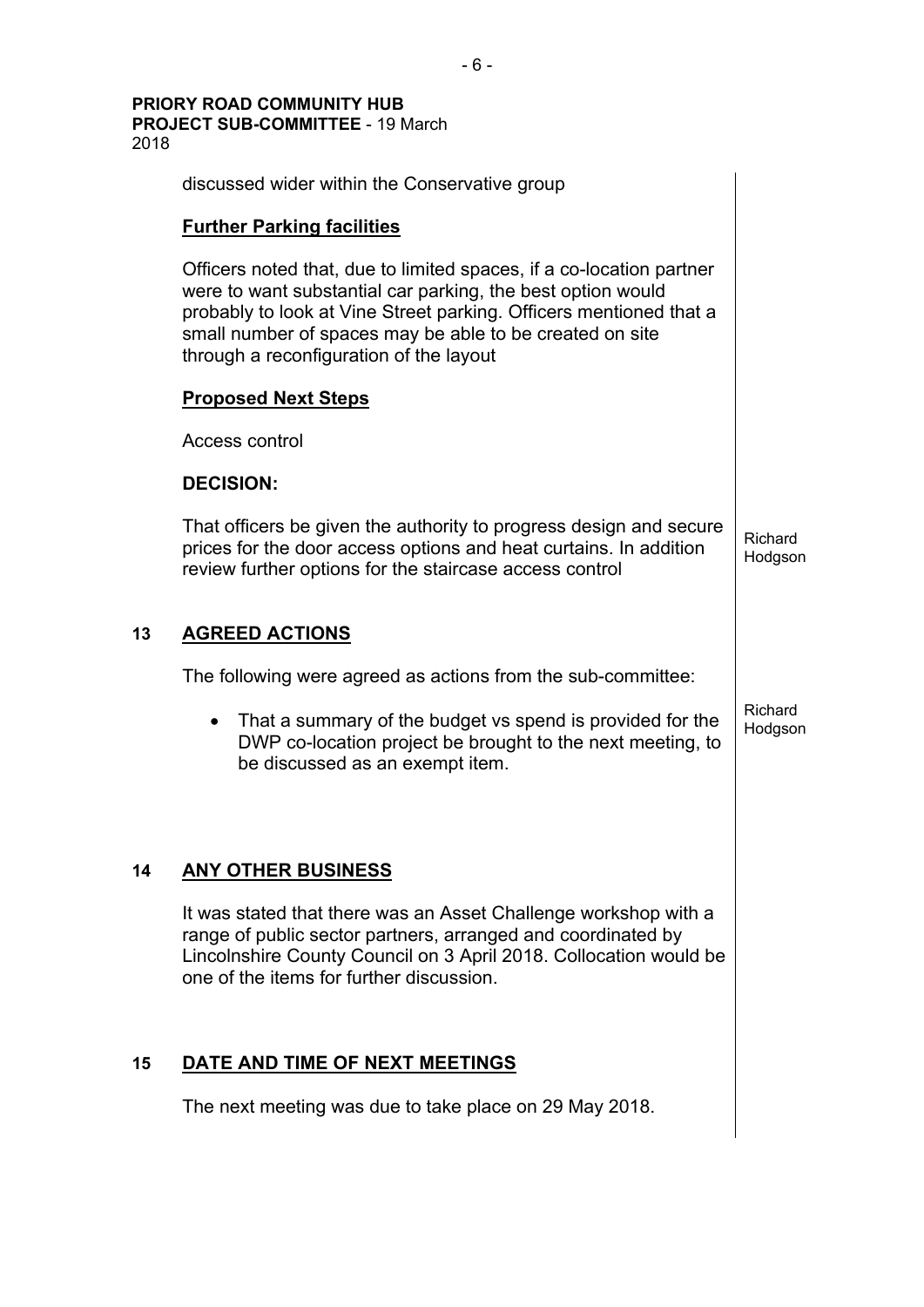discussed wider within the Conservative group **Further Parking facilities** Officers noted that, due to limited spaces, if a co-location partner were to want substantial car parking, the best option would probably to look at Vine Street parking. Officers mentioned that a small number of spaces may be able to be created on site through a reconfiguration of the layout **Proposed Next Steps** Access control **DECISION:** That officers be given the authority to progress design and secure prices for the door access options and heat curtains. In addition review further options for the staircase access control Richard Hodgson **13 AGREED ACTIONS** The following were agreed as actions from the sub-committee: • That a summary of the budget vs spend is provided for the DWP co-location project be brought to the next meeting, to be discussed as an exempt item. Richard **Hodgson 14 ANY OTHER BUSINESS** It was stated that there was an Asset Challenge workshop with a range of public sector partners, arranged and coordinated by Lincolnshire County Council on 3 April 2018. Collocation would be one of the items for further discussion. **15 DATE AND TIME OF NEXT MEETINGS** The next meeting was due to take place on 29 May 2018.